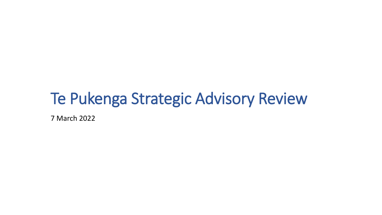# Te Pukenga Strategic Advisory Review

7 March 2022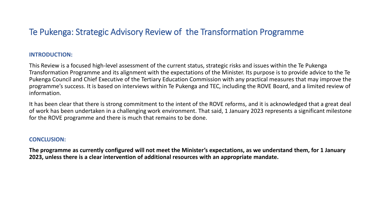#### **INTRODUCTION:**

This Review is a focused high-level assessment of the current status, strategic risks and issues within the Te Pukenga Transformation Programme and its alignment with the expectations of the Minister. Its purpose is to provide advice to the Te Pukenga Council and Chief Executive of the Tertiary Education Commission with any practical measures that may improve the programme's success. It is based on interviews within Te Pukenga and TEC, including the ROVE Board, and a limited review of information.

It has been clear that there is strong commitment to the intent of the ROVE reforms, and it is acknowledged that a great deal of work has been undertaken in a challenging work environment. That said, 1 January 2023 represents a significant milestone for the ROVE programme and there is much that remains to be done.

#### **CONCLUSION:**

**The programme as currently configured will not meet the Minister's expectations, as we understand them, for 1 January 2023, unless there is a clear intervention of additional resources with an appropriate mandate.**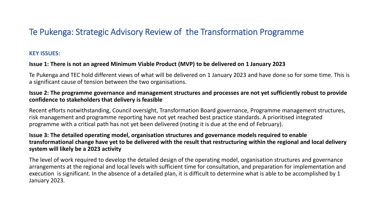## **KEY ISSUES:**

# **Issue 1: There is not an agreed Minimum Viable Product (MVP) to be delivered on 1 January 2023**

Te Pukenga and TEC hold different views of what will be delivered on 1 January 2023 and have done so for some time. This is a significant cause of tension between the two organisations.

# **Issue 2: The programme governance and management structures and processes are not yet sufficiently robust to provide confidence to stakeholders that delivery is feasible**

Recent efforts notwithstanding, Council oversight, Transformation Board governance, Programme management structures, risk management and programme reporting have not yet reached best practice standards. A prioritised integrated programme with a critical path has not yet been delivered (noting it is due at the end of February).

# **Issue 3: The detailed operating model, organisation structures and governance models required to enable transformational change have yet to be delivered with the result that restructuring within the regional and local delivery system will likely be a 2023 activity**

The level of work required to develop the detailed design of the operating model, organisation structures and governance arrangements at the regional and local levels with sufficient time for consultation, and preparation for implementation and execution is significant. In the absence of a detailed plan, it is difficult to determine what is able to be accomplished by 1 January 2023.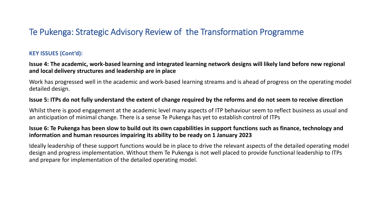# **KEY ISSUES (Cont'd):**

**Issue 4: The academic, work-based learning and integrated learning network designs will likely land before new regional and local delivery structures and leadership are in place**

Work has progressed well in the academic and work-based learning streams and is ahead of progress on the operating model detailed design.

#### **Issue 5: ITPs do not fully understand the extent of change required by the reforms and do not seem to receive direction**

Whilst there is good engagement at the academic level many aspects of ITP behaviour seem to reflect business as usual and an anticipation of minimal change. There is a sense Te Pukenga has yet to establish control of ITPs

### **Issue 6: Te Pukenga has been slow to build out its own capabilities in support functions such as finance, technology and information and human resources impairing its ability to be ready on 1 January 2023**

Ideally leadership of these support functions would be in place to drive the relevant aspects of the detailed operating model design and progress implementation. Without them Te Pukenga is not well placed to provide functional leadership to ITPs and prepare for implementation of the detailed operating model.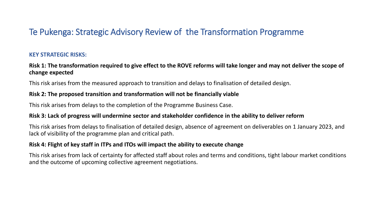# **KEY STRATEGIC RISKS:**

# **Risk 1: The transformation required to give effect to the ROVE reforms will take longer and may not deliver the scope of change expected**

This risk arises from the measured approach to transition and delays to finalisation of detailed design.

## **Risk 2: The proposed transition and transformation will not be financially viable**

This risk arises from delays to the completion of the Programme Business Case.

#### **Risk 3: Lack of progress will undermine sector and stakeholder confidence in the ability to deliver reform**

This risk arises from delays to finalisation of detailed design, absence of agreement on deliverables on 1 January 2023, and lack of visibility of the programme plan and critical path.

## **Risk 4: Flight of key staff in ITPs and ITOs will impact the ability to execute change**

This risk arises from lack of certainty for affected staff about roles and terms and conditions, tight labour market conditions and the outcome of upcoming collective agreement negotiations.